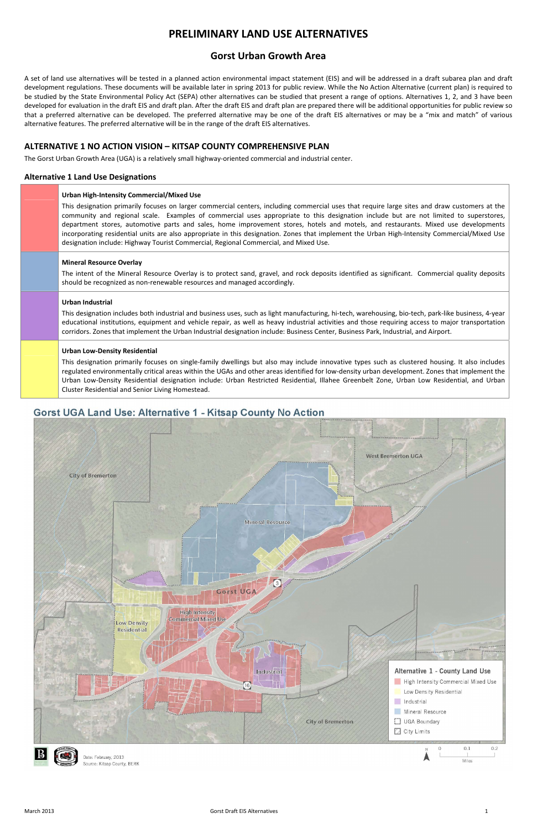# **PRELIMINARY LAND USE ALTERNATIVES**

## **Gorst Urban Growth Area**

A set of land use alternatives will be tested in a planned action environmental impact statement (EIS) and will be addressed in a draft subarea plan and draft development regulations. These documents will be available later in spring 2013 for public review. While the No Action Alternative (current plan) is required to be studied by the State Environmental Policy Act (SEPA) other alternatives can be studied that present a range of options. Alternatives 1, 2, and 3 have been developed for evaluation in the draft EIS and draft plan. After the draft EIS and draft plan are prepared there will be additional opportunities for public review so that a preferred alternative can be developed. The preferred alternative may be one of the draft EIS alternatives or may be a "mix and match" of various alternative features. The preferred alternative will be in the range of the draft EIS alternatives.

The intent of the Mineral Resource Overlay is to protect sand, gravel, and rock deposits identified as significant. Commercial quality deposits should be recognized as non-renewable resources and managed accordingly.

### **ALTERNATIVE 1 NO ACTION VISION – KITSAP COUNTY COMPREHENSIVE PLAN**

The Gorst Urban Growth Area (UGA) is a relatively small highway-oriented commercial and industrial center.

#### **Alternative 1 Land Use Designations**

#### **Urban High‐Intensity Commercial/Mixed Use**

This designation primarily focuses on larger commercial centers, including commercial uses that require large sites and draw customers at the community and regional scale. Examples of commercial uses appropriate to this designation include but are not limited to superstores, department stores, automotive parts and sales, home improvement stores, hotels and motels, and restaurants. Mixed use developments incorporating residential units are also appropriate in this designation. Zones that implement the Urban High-Intensity Commercial/Mixed Use designation include: Highway Tourist Commercial, Regional Commercial, and Mixed Use.

#### **Mineral Resource Overlay**

#### **Urban Industrial**

This designation includes both industrial and business uses, such as light manufacturing, hi‐tech, warehousing, bio‐tech, park‐like business, 4‐year educational institutions, equipment and vehicle repair, as well as heavy industrial activities and those requiring access to major transportation corridors. Zones that implement the Urban Industrial designation include: Business Center, Business Park, Industrial, and Airport.

#### **Urban Low‐Density Residential**

This designation primarily focuses on single‐family dwellings but also may include innovative types such as clustered housing. It also includes regulated environmentally critical areas within the UGAs and other areas identified for low-density urban development. Zones that implement the Urban Low‐Density Residential designation include: Urban Restricted Residential, Illahee Greenbelt Zone, Urban Low Residential, and Urban Cluster Residential and Senior Living Homestead.



## **Gorst UGA Land Use: Alternative 1 - Kitsap County No Action**

Source: Kitsap County, BERK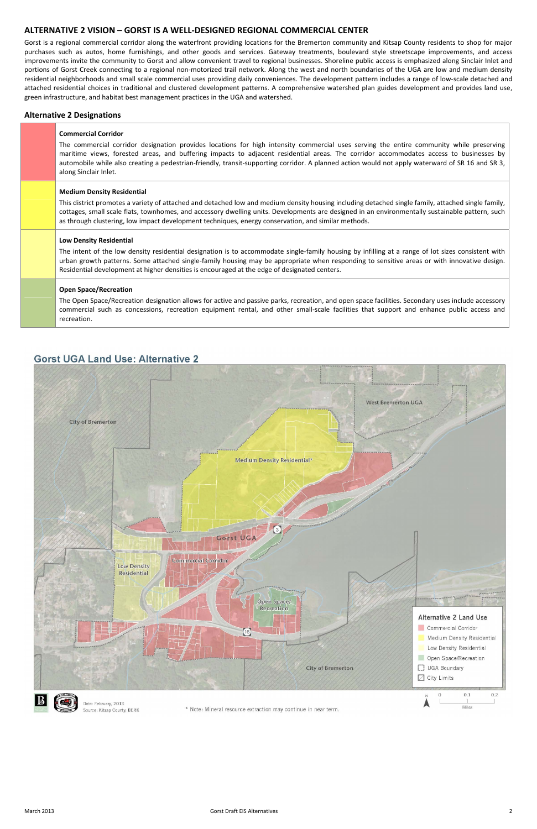### **ALTERNATIVE 2 VISION – GORST IS A WELL‐DESIGNED REGIONAL COMMERCIAL CENTER**

Gorst is a regional commercial corridor along the waterfront providing locations for the Bremerton community and Kitsap County residents to shop for major purchases such as autos, home furnishings, and other goods and services. Gateway treatments, boulevard style streetscape improvements, and access improvements invite the community to Gorst and allow convenient travel to regional businesses. Shoreline public access is emphasized along Sinclair Inlet and portions of Gorst Creek connecting to a regional non-motorized trail network. Along the west and north boundaries of the UGA are low and medium density residential neighborhoods and small scale commercial uses providing daily conveniences. The development pattern includes a range of low‐scale detached and attached residential choices in traditional and clustered development patterns. A comprehensive watershed plan guides development and provides land use, green infrastructure, and habitat best management practices in the UGA and watershed.

#### **Alternative 2 Designations**

#### **Commercial Corridor**

The commercial corridor designation provides locations for high intensity commercial uses serving the entire community while preserving maritime views, forested areas, and buffering impacts to adjacent residential areas. The corridor accommodates access to businesses by automobile while also creating a pedestrian-friendly, transit-supporting corridor. A planned action would not apply waterward of SR 16 and SR 3, along Sinclair Inlet.

#### **Medium Density Residential**

This district promotes a variety of attached and detached low and medium density housing including detached single family, attached single family, cottages, small scale flats, townhomes, and accessory dwelling units. Developments are designed in an environmentally sustainable pattern, such as through clustering, low impact development techniques, energy conservation, and similar methods.

#### **Low Density Residential**

The intent of the low density residential designation is to accommodate single‐family housing by infilling at a range of lot sizes consistent with urban growth patterns. Some attached single‐family housing may be appropriate when responding to sensitive areas or with innovative design. Residential development at higher densities is encouraged at the edge of designated centers.

#### **Open Space/Recreation**

The Open Space/Recreation designation allows for active and passive parks, recreation, and open space facilities. Secondary uses include accessory commercial such as concessions, recreation equipment rental, and other small‐scale facilities that support and enhance public access and recreation.

## **Gorst UGA Land Use: Alternative 2**